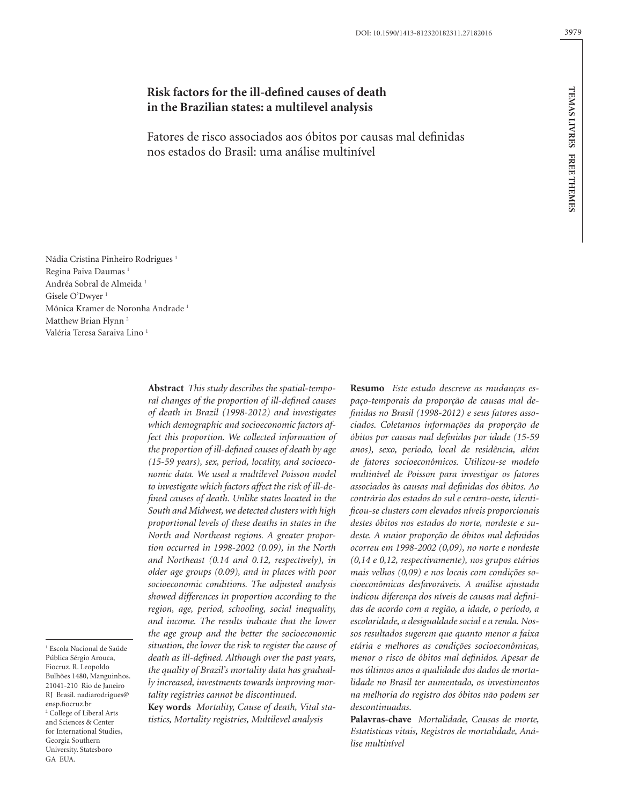# **Risk factors for the ill-defined causes of death in the Brazilian states: a multilevel analysis**

Fatores de risco associados aos óbitos por causas mal definidas nos estados do Brasil: uma análise multinível

Nádia Cristina Pinheiro Rodrigues 1 Regina Paiva Daumas<sup>1</sup> Andréa Sobral de Almeida 1 Gisele O'Dwyer<sup>1</sup> Mônica Kramer de Noronha Andrade 1 Matthew Brian Flynn<sup>2</sup> Valéria Teresa Saraiva Lino<sup>1</sup>

> **Abstract** *This study describes the spatial-temporal changes of the proportion of ill-defined causes of death in Brazil (1998-2012) and investigates which demographic and socioeconomic factors affect this proportion. We collected information of the proportion of ill-defined causes of death by age (15-59 years), sex, period, locality, and socioeconomic data. We used a multilevel Poisson model to investigate which factors affect the risk of ill-defined causes of death. Unlike states located in the South and Midwest, we detected clusters with high proportional levels of these deaths in states in the North and Northeast regions. A greater proportion occurred in 1998-2002 (0.09), in the North and Northeast (0.14 and 0.12, respectively), in older age groups (0.09), and in places with poor socioeconomic conditions. The adjusted analysis showed differences in proportion according to the region, age, period, schooling, social inequality, and income. The results indicate that the lower the age group and the better the socioeconomic situation, the lower the risk to register the cause of death as ill-defined. Although over the past years, the quality of Brazil's mortality data has gradually increased, investments towards improving mortality registries cannot be discontinued*.

> **Key words** *Mortality, Cause of death, Vital statistics, Mortality registries, Multilevel analysis*

**Resumo** *Este estudo descreve as mudanças espaço-temporais da proporção de causas mal definidas no Brasil (1998-2012) e seus fatores associados. Coletamos informações da proporção de óbitos por causas mal definidas por idade (15-59 anos), sexo, período, local de residência, além de fatores socioeconômicos. Utilizou-se modelo multinível de Poisson para investigar os fatores associados às causas mal definidas dos óbitos. Ao contrário dos estados do sul e centro-oeste, identificou-se clusters com elevados níveis proporcionais destes óbitos nos estados do norte, nordeste e sudeste. A maior proporção de óbitos mal definidos ocorreu em 1998-2002 (0,09), no norte e nordeste (0,14 e 0,12, respectivamente), nos grupos etários mais velhos (0,09) e nos locais com condições socioeconômicas desfavoráveis. A análise ajustada indicou diferença dos níveis de causas mal definidas de acordo com a região, a idade, o período, a escolaridade, a desigualdade social e a renda. Nossos resultados sugerem que quanto menor a faixa etária e melhores as condições socioeconômicas, menor o risco de óbitos mal definidos. Apesar de nos últimos anos a qualidade dos dados de mortalidade no Brasil ter aumentado, os investimentos na melhoria do registro dos óbitos não podem ser descontinuadas*.

**Palavras-chave** *Mortalidade, Causas de morte, Estatísticas vitais, Registros de mortalidade, Análise multinível*

3979

1 Escola Nacional de Saúde Pública Sérgio Arouca, Fiocruz. R. Leopoldo Bulhões 1480, Manguinhos. 21041-210 Rio de Janeiro RJ Brasil. nadiarodrigues@ ensp.fiocruz.br 2 College of Liberal Arts and Sciences & Center for International Studies, Georgia Southern University. Statesboro GA EUA.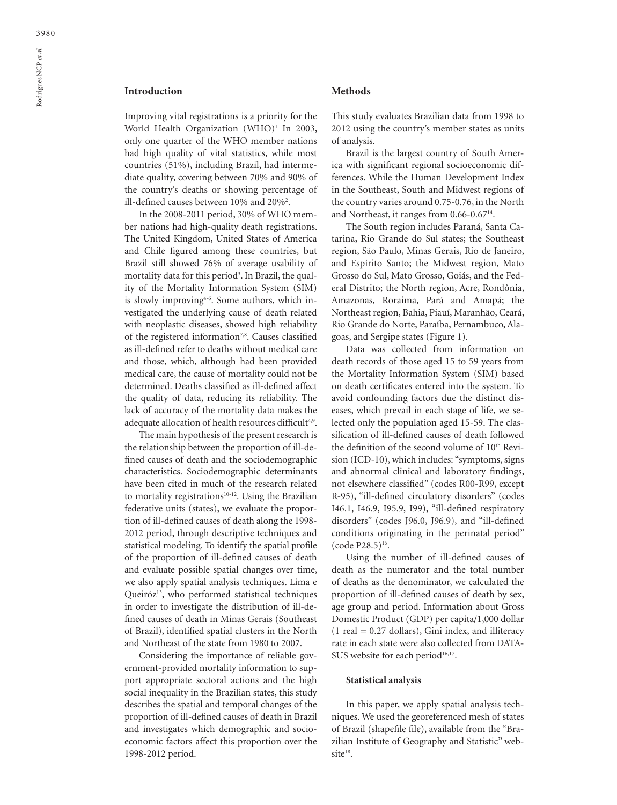## **Introduction**

Improving vital registrations is a priority for the World Health Organization  $(WHO)^1$  In 2003, only one quarter of the WHO member nations had high quality of vital statistics, while most countries (51%), including Brazil, had intermediate quality, covering between 70% and 90% of the country's deaths or showing percentage of ill-defined causes between 10% and 20%<sup>2</sup>.

In the 2008-2011 period, 30% of WHO member nations had high-quality death registrations. The United Kingdom, United States of America and Chile figured among these countries, but Brazil still showed 76% of average usability of mortality data for this period<sup>3</sup>. In Brazil, the quality of the Mortality Information System (SIM) is slowly improving<sup>4-6</sup>. Some authors, which investigated the underlying cause of death related with neoplastic diseases, showed high reliability of the registered information<sup>7,8</sup>. Causes classified as ill-defined refer to deaths without medical care and those, which, although had been provided medical care, the cause of mortality could not be determined. Deaths classified as ill-defined affect the quality of data, reducing its reliability. The lack of accuracy of the mortality data makes the adequate allocation of health resources difficult<sup>4,9</sup>.

The main hypothesis of the present research is the relationship between the proportion of ill-defined causes of death and the sociodemographic characteristics. Sociodemographic determinants have been cited in much of the research related to mortality registrations<sup>10-12</sup>. Using the Brazilian federative units (states), we evaluate the proportion of ill-defined causes of death along the 1998- 2012 period, through descriptive techniques and statistical modeling. To identify the spatial profile of the proportion of ill-defined causes of death and evaluate possible spatial changes over time, we also apply spatial analysis techniques. Lima e Queiróz<sup>13</sup>, who performed statistical techniques in order to investigate the distribution of ill-defined causes of death in Minas Gerais (Southeast of Brazil), identified spatial clusters in the North and Northeast of the state from 1980 to 2007.

Considering the importance of reliable government-provided mortality information to support appropriate sectoral actions and the high social inequality in the Brazilian states, this study describes the spatial and temporal changes of the proportion of ill-defined causes of death in Brazil and investigates which demographic and socioeconomic factors affect this proportion over the 1998-2012 period.

### **Methods**

This study evaluates Brazilian data from 1998 to 2012 using the country's member states as units of analysis.

Brazil is the largest country of South America with significant regional socioeconomic differences. While the Human Development Index in the Southeast, South and Midwest regions of the country varies around 0.75-0.76, in the North and Northeast, it ranges from 0.66-0.67<sup>14</sup>.

The South region includes Paraná, Santa Catarina, Rio Grande do Sul states; the Southeast region, São Paulo, Minas Gerais, Rio de Janeiro, and Espírito Santo; the Midwest region, Mato Grosso do Sul, Mato Grosso, Goiás, and the Federal Distrito; the North region, Acre, Rondônia, Amazonas, Roraima, Pará and Amapá; the Northeast region, Bahia, Piauí, Maranhão, Ceará, Rio Grande do Norte, Paraíba, Pernambuco, Alagoas, and Sergipe states (Figure 1).

Data was collected from information on death records of those aged 15 to 59 years from the Mortality Information System (SIM) based on death certificates entered into the system. To avoid confounding factors due the distinct diseases, which prevail in each stage of life, we selected only the population aged 15-59. The classification of ill-defined causes of death followed the definition of the second volume of 10<sup>th</sup> Revision (ICD-10), which includes: "symptoms, signs and abnormal clinical and laboratory findings, not elsewhere classified" (codes R00-R99, except R-95), "ill-defined circulatory disorders" (codes I46.1, I46.9, I95.9, I99), "ill-defined respiratory disorders" (codes J96.0, J96.9), and "ill-defined conditions originating in the perinatal period" (code P28.5)15.

Using the number of ill-defined causes of death as the numerator and the total number of deaths as the denominator, we calculated the proportion of ill-defined causes of death by sex, age group and period. Information about Gross Domestic Product (GDP) per capita/1,000 dollar  $(1$  real = 0.27 dollars), Gini index, and illiteracy rate in each state were also collected from DATA-SUS website for each period<sup>16,17</sup>.

#### **Statistical analysis**

In this paper, we apply spatial analysis techniques. We used the georeferenced mesh of states of Brazil (shapefile file), available from the "Brazilian Institute of Geography and Statistic" website<sup>18</sup>.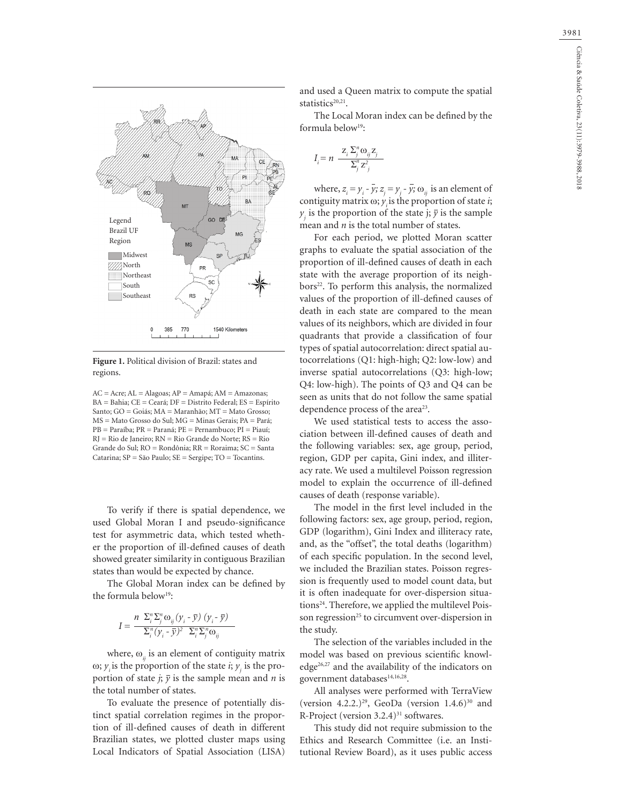

**Figure 1.** Political division of Brazil: states and regions.

AC = Acre; AL = Alagoas; AP = Amapá; AM = Amazonas; BA = Bahia; CE = Ceará; DF = Distrito Federal; ES = Espírito Santo; GO = Goiás; MA = Maranhão; MT = Mato Grosso; MS = Mato Grosso do Sul; MG = Minas Gerais; PA = Pará; PB = Paraíba; PR = Paraná; PE = Pernambuco; PI = Piauí; RJ = Rio de Janeiro; RN = Rio Grande do Norte; RS = Rio Grande do Sul; RO = Rondônia; RR = Roraima; SC = Santa Catarina; SP = São Paulo; SE = Sergipe; TO = Tocantins.

To verify if there is spatial dependence, we used Global Moran I and pseudo-significance test for asymmetric data, which tested whether the proportion of ill-defined causes of death showed greater similarity in contiguous Brazilian states than would be expected by chance.

The Global Moran index can be defined by the formula below<sup>19</sup>:

$$
I = \frac{n \sum_{i}^{n} \sum_{j}^{n} \omega_{ij} (y_i - \bar{y}) (y_i - \bar{y})}{\sum_{i}^{n} (y_i - \bar{y})^2 \sum_{i}^{n} \sum_{j}^{n} \omega_{ij}}
$$

where,  $\omega_{ii}$  is an element of contiguity matrix  $\omega$ ; *y* is the proportion of the state *i*; *y* is the proportion of state *j*;  $\bar{y}$  is the sample mean and *n* is the total number of states.

To evaluate the presence of potentially distinct spatial correlation regimes in the proportion of ill-defined causes of death in different Brazilian states, we plotted cluster maps using Local Indicators of Spatial Association (LISA)

and used a Queen matrix to compute the spatial statistics<sup>20,21</sup>.

The Local Moran index can be defined by the formula below<sup>19</sup>:

$$
I_i = n \frac{Z_i \sum_j^n \omega_{ij} Z_j}{\sum_j^n z_j^2}
$$

where,  $z_i = y_i - \overline{y}; z_j = y_j - \overline{y}; \omega_{ij}$  is an element of contiguity matrix  $\omega$ ;  $y_i$  is the proportion of state *i*;  $y_j$  is the proportion of the state j;  $\bar{y}$  is the sample  mean and *n* is the total number of states.

For each period, we plotted Moran scatter graphs to evaluate the spatial association of the proportion of ill-defined causes of death in each state with the average proportion of its neighbors<sup>22</sup>. To perform this analysis, the normalized values of the proportion of ill-defined causes of death in each state are compared to the mean values of its neighbors, which are divided in four quadrants that provide a classification of four types of spatial autocorrelation: direct spatial autocorrelations (Q1: high-high; Q2: low-low) and inverse spatial autocorrelations (Q3: high-low; Q4: low-high). The points of Q3 and Q4 can be seen as units that do not follow the same spatial dependence process of the area<sup>23</sup>.

We used statistical tests to access the association between ill-defined causes of death and the following variables: sex, age group, period, region, GDP per capita, Gini index, and illiteracy rate. We used a multilevel Poisson regression model to explain the occurrence of ill-defined causes of death (response variable).

The model in the first level included in the following factors: sex, age group, period, region, GDP (logarithm), Gini Index and illiteracy rate, and, as the "offset", the total deaths (logarithm) of each specific population. In the second level, we included the Brazilian states. Poisson regression is frequently used to model count data, but it is often inadequate for over-dispersion situations<sup>24</sup>. Therefore, we applied the multilevel Poisson regression<sup>25</sup> to circumvent over-dispersion in the study.

The selection of the variables included in the model was based on previous scientific knowledge26,27 and the availability of the indicators on government databases<sup>14,16,28</sup>.

All analyses were performed with TerraView (version 4.2.2.)<sup>29</sup>, GeoDa (version 1.4.6)<sup>30</sup> and R-Project (version  $3.2.4$ )<sup>31</sup> softwares.

This study did not require submission to the Ethics and Research Committee (i.e. an Institutional Review Board), as it uses public access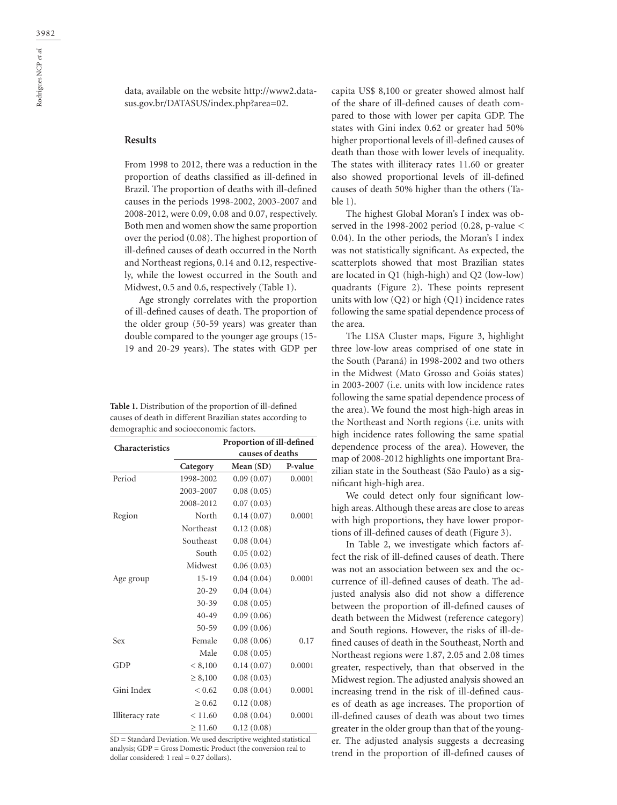data, available on the website http://www2.datasus.gov.br/DATASUS/index.php?area=02.

### **Results**

From 1998 to 2012, there was a reduction in the proportion of deaths classified as ill-defined in Brazil. The proportion of deaths with ill-defined causes in the periods 1998-2002, 2003-2007 and 2008-2012, were 0.09, 0.08 and 0.07, respectively. Both men and women show the same proportion over the period (0.08). The highest proportion of ill-defined causes of death occurred in the North and Northeast regions, 0.14 and 0.12, respectively, while the lowest occurred in the South and Midwest, 0.5 and 0.6, respectively (Table 1).

Age strongly correlates with the proportion of ill-defined causes of death. The proportion of the older group (50-59 years) was greater than double compared to the younger age groups (15- 19 and 20-29 years). The states with GDP per

| Table 1. Distribution of the proportion of ill-defined     |
|------------------------------------------------------------|
| causes of death in different Brazilian states according to |
| demographic and socioeconomic factors.                     |

| Characteristics |              | Proportion of ill-defined<br>causes of deaths |         |
|-----------------|--------------|-----------------------------------------------|---------|
|                 | Category     | Mean (SD)                                     | P-value |
| Period          | 1998-2002    | 0.09(0.07)                                    | 0.0001  |
|                 | 2003-2007    | 0.08(0.05)                                    |         |
|                 | 2008-2012    | 0.07(0.03)                                    |         |
| Region          | North        | 0.14(0.07)                                    | 0.0001  |
|                 | Northeast    | 0.12(0.08)                                    |         |
|                 | Southeast    | 0.08(0.04)                                    |         |
|                 | South        | 0.05(0.02)                                    |         |
|                 | Midwest      | 0.06(0.03)                                    |         |
| Age group       | $15 - 19$    | 0.04(0.04)                                    | 0.0001  |
|                 | $20 - 29$    | 0.04(0.04)                                    |         |
|                 | $30 - 39$    | 0.08(0.05)                                    |         |
|                 | $40 - 49$    | 0.09(0.06)                                    |         |
|                 | $50 - 59$    | 0.09(0.06)                                    |         |
| Sex             | Female       | 0.08(0.06)                                    | 0.17    |
|                 | Male         | 0.08(0.05)                                    |         |
| <b>GDP</b>      | < 8,100      | 0.14(0.07)                                    | 0.0001  |
|                 | $\geq 8,100$ | 0.08(0.03)                                    |         |
| Gini Index      | ${}< 0.62$   | 0.08(0.04)                                    | 0.0001  |
|                 | $\geq 0.62$  | 0.12(0.08)                                    |         |
| Illiteracy rate | < 11.60      | 0.08(0.04)                                    | 0.0001  |
|                 | $\geq 11.60$ | 0.12(0.08)                                    |         |

SD = Standard Deviation. We used descriptive weighted statistical analysis; GDP = Gross Domestic Product (the conversion real to dollar considered: 1 real =  $0.27$  dollars).

capita US\$ 8,100 or greater showed almost half of the share of ill-defined causes of death compared to those with lower per capita GDP. The states with Gini index 0.62 or greater had 50% higher proportional levels of ill-defined causes of death than those with lower levels of inequality. The states with illiteracy rates 11.60 or greater also showed proportional levels of ill-defined causes of death 50% higher than the others (Table 1).

The highest Global Moran's I index was observed in the 1998-2002 period (0.28, p-value < 0.04). In the other periods, the Moran's I index was not statistically significant. As expected, the scatterplots showed that most Brazilian states are located in Q1 (high-high) and Q2 (low-low) quadrants (Figure 2). These points represent units with low  $(Q2)$  or high  $(Q1)$  incidence rates following the same spatial dependence process of the area.

The LISA Cluster maps, Figure 3, highlight three low-low areas comprised of one state in the South (Paraná) in 1998-2002 and two others in the Midwest (Mato Grosso and Goiás states) in 2003-2007 (i.e. units with low incidence rates following the same spatial dependence process of the area). We found the most high-high areas in the Northeast and North regions (i.e. units with high incidence rates following the same spatial dependence process of the area). However, the map of 2008-2012 highlights one important Brazilian state in the Southeast (São Paulo) as a significant high-high area.

We could detect only four significant lowhigh areas. Although these areas are close to areas with high proportions, they have lower proportions of ill-defined causes of death (Figure 3).

In Table 2, we investigate which factors affect the risk of ill-defined causes of death. There was not an association between sex and the occurrence of ill-defined causes of death. The adjusted analysis also did not show a difference between the proportion of ill-defined causes of death between the Midwest (reference category) and South regions. However, the risks of ill-defined causes of death in the Southeast, North and Northeast regions were 1.87, 2.05 and 2.08 times greater, respectively, than that observed in the Midwest region. The adjusted analysis showed an increasing trend in the risk of ill-defined causes of death as age increases. The proportion of ill-defined causes of death was about two times greater in the older group than that of the younger. The adjusted analysis suggests a decreasing trend in the proportion of ill-defined causes of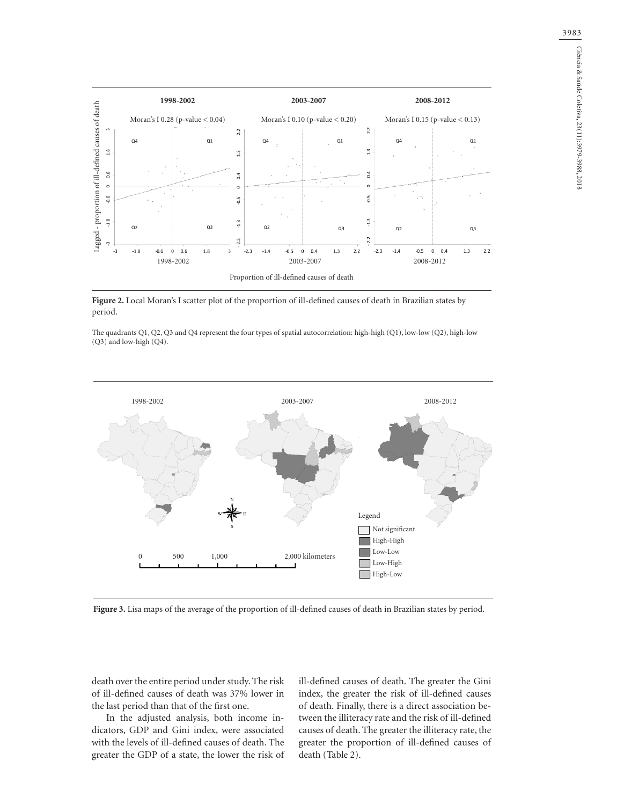3983



**Figure 2.** Local Moran's I scatter plot of the proportion of ill-defined causes of death in Brazilian states by period.

The quadrants Q1, Q2, Q3 and Q4 represent the four types of spatial autocorrelation: high-high (Q1), low-low (Q2), high-low



**Figure 3.** Lisa maps of the average of the proportion of ill-defined causes of death in Brazilian states by period.

death over the entire period under study. The risk of ill-defined causes of death was 37% lower in the last period than that of the first one.

In the adjusted analysis, both income indicators, GDP and Gini index, were associated with the levels of ill-defined causes of death. The greater the GDP of a state, the lower the risk of ill-defined causes of death. The greater the Gini index, the greater the risk of ill-defined causes of death. Finally, there is a direct association between the illiteracy rate and the risk of ill-defined causes of death. The greater the illiteracy rate, the greater the proportion of ill-defined causes of death (Table 2).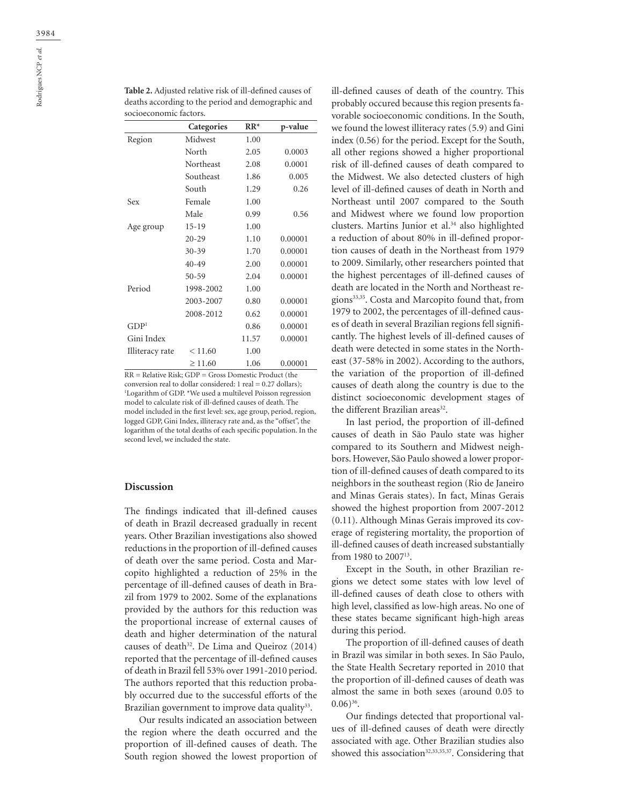| Table 2. Adjusted relative risk of ill-defined causes of |
|----------------------------------------------------------|
| deaths according to the period and demographic and       |
| socioeconomic factors.                                   |

|                  | Categories   | $RR^*$ | p-value |
|------------------|--------------|--------|---------|
| Region           | Midwest      | 1.00   |         |
|                  | North        | 2.05   | 0.0003  |
|                  | Northeast    | 2.08   | 0.0001  |
|                  | Southeast    | 1.86   | 0.005   |
|                  | South        | 1.29   | 0.26    |
| Sex              | Female       | 1.00   |         |
|                  | Male         | 0.99   | 0.56    |
| Age group        | $15 - 19$    | 1.00   |         |
|                  | $20 - 29$    | 1.10   | 0.00001 |
|                  | $30 - 39$    | 1.70   | 0.00001 |
|                  | $40 - 49$    | 2.00   | 0.00001 |
|                  | $50 - 59$    | 2.04   | 0.00001 |
| Period           | 1998-2002    | 1.00   |         |
|                  | 2003-2007    | 0.80   | 0.00001 |
|                  | 2008-2012    | 0.62   | 0.00001 |
| GDP <sup>1</sup> |              | 0.86   | 0.00001 |
| Gini Index       |              | 11.57  | 0.00001 |
| Illiteracy rate  | < 11.60      | 1.00   |         |
|                  | $\geq$ 11.60 | 1.06   | 0.00001 |

RR = Relative Risk; GDP = Gross Domestic Product (the conversion real to dollar considered: 1 real = 0.27 dollars); 1 Logarithm of GDP. \*We used a multilevel Poisson regression model to calculate risk of ill-defined causes of death. The model included in the first level: sex, age group, period, region, logged GDP, Gini Index, illiteracy rate and, as the "offset", the logarithm of the total deaths of each specific population. In the second level, we included the state.

### **Discussion**

The findings indicated that ill-defined causes of death in Brazil decreased gradually in recent years. Other Brazilian investigations also showed reductions in the proportion of ill-defined causes of death over the same period. Costa and Marcopito highlighted a reduction of 25% in the percentage of ill-defined causes of death in Brazil from 1979 to 2002. Some of the explanations provided by the authors for this reduction was the proportional increase of external causes of death and higher determination of the natural causes of death $32$ . De Lima and Queiroz (2014) reported that the percentage of ill-defined causes of death in Brazil fell 53% over 1991-2010 period. The authors reported that this reduction probably occurred due to the successful efforts of the Brazilian government to improve data quality<sup>33</sup>.

Our results indicated an association between the region where the death occurred and the proportion of ill-defined causes of death. The South region showed the lowest proportion of ill-defined causes of death of the country. This probably occured because this region presents favorable socioeconomic conditions. In the South, we found the lowest illiteracy rates (5.9) and Gini index (0.56) for the period. Except for the South, all other regions showed a higher proportional risk of ill-defined causes of death compared to the Midwest. We also detected clusters of high level of ill-defined causes of death in North and Northeast until 2007 compared to the South and Midwest where we found low proportion clusters. Martins Junior et al.<sup>34</sup> also highlighted a reduction of about 80% in ill-defined proportion causes of death in the Northeast from 1979 to 2009. Similarly, other researchers pointed that the highest percentages of ill-defined causes of death are located in the North and Northeast regions<sup>33,35</sup>. Costa and Marcopito found that, from 1979 to 2002, the percentages of ill-defined causes of death in several Brazilian regions fell significantly. The highest levels of ill-defined causes of death were detected in some states in the Northeast (37-58% in 2002). According to the authors, the variation of the proportion of ill-defined causes of death along the country is due to the distinct socioeconomic development stages of the different Brazilian areas<sup>32</sup>.

In last period, the proportion of ill-defined causes of death in São Paulo state was higher compared to its Southern and Midwest neighbors. However, São Paulo showed a lower proportion of ill-defined causes of death compared to its neighbors in the southeast region (Rio de Janeiro and Minas Gerais states). In fact, Minas Gerais showed the highest proportion from 2007-2012 (0.11). Although Minas Gerais improved its coverage of registering mortality, the proportion of ill-defined causes of death increased substantially from 1980 to 2007<sup>13</sup>.

Except in the South, in other Brazilian regions we detect some states with low level of ill-defined causes of death close to others with high level, classified as low-high areas. No one of these states became significant high-high areas during this period.

The proportion of ill-defined causes of death in Brazil was similar in both sexes. In São Paulo, the State Health Secretary reported in 2010 that the proportion of ill-defined causes of death was almost the same in both sexes (around 0.05 to  $(0.06)^{36}$ .

Our findings detected that proportional values of ill-defined causes of death were directly associated with age. Other Brazilian studies also showed this association<sup>32,33,35,37</sup>. Considering that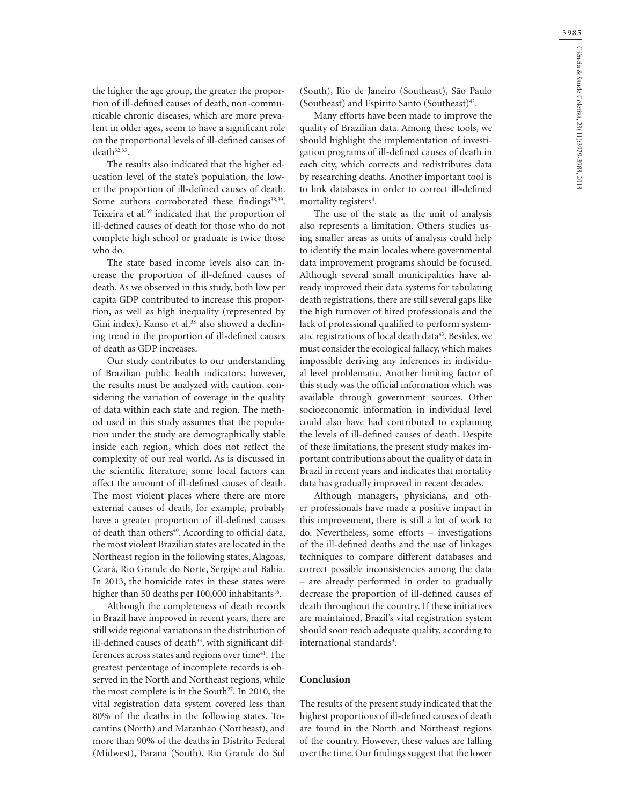the higher the age group, the greater the proportion of ill-defined causes of death, non-communicable chronic diseases, which are more prevalent in older ages, seem to have a significant role on the proportional levels of ill-defined causes of death<sup>32,33</sup>.

The results also indicated that the higher education level of the state's population, the lower the proportion of ill-defined causes of death. Some authors corroborated these findings<sup>38,39</sup>. Teixeira et al.39 indicated that the proportion of ill-defined causes of death for those who do not complete high school or graduate is twice those who do.

The state based income levels also can increase the proportion of ill-defined causes of death. As we observed in this study, both low per capita GDP contributed to increase this proportion, as well as high inequality (represented by Gini index). Kanso et al.<sup>38</sup> also showed a declining trend in the proportion of ill-defined causes of death as GDP increases.

Our study contributes to our understanding of Brazilian public health indicators; however, the results must be analyzed with caution, considering the variation of coverage in the quality of data within each state and region. The method used in this study assumes that the population under the study are demographically stable inside each region, which does not reflect the complexity of our real world. As is discussed in the scientific literature, some local factors can affect the amount of ill-defined causes of death. The most violent places where there are more external causes of death, for example, probably have a greater proportion of ill-defined causes of death than others<sup>40</sup>. According to official data, the most violent Brazilian states are located in the Northeast region in the following states, Alagoas, Ceará, Rio Grande do Norte, Sergipe and Bahia. In 2013, the homicide rates in these states were higher than 50 deaths per 100,000 inhabitants<sup>16</sup>.

Although the completeness of death records in Brazil have improved in recent years, there are still wide regional variations in the distribution of ill-defined causes of death<sup>33</sup>, with significant differences across states and regions over time<sup>41</sup>. The greatest percentage of incomplete records is observed in the North and Northeast regions, while the most complete is in the South<sup>27</sup>. In 2010, the vital registration data system covered less than 80% of the deaths in the following states, Tocantins (North) and Maranhão (Northeast), and more than 90% of the deaths in Distrito Federal (Midwest), Paraná (South), Rio Grande do Sul

(South), Rio de Janeiro (Southeast), São Paulo (Southeast) and Espírito Santo (Southeast)<sup>42</sup>.

Many efforts have been made to improve the quality of Brazilian data. Among these tools, we should highlight the implementation of investigation programs of ill-defined causes of death in each city, which corrects and redistributes data by researching deaths. Another important tool is to link databases in order to correct ill-defined mortality registers<sup>4</sup>.

The use of the state as the unit of analysis also represents a limitation. Others studies using smaller areas as units of analysis could help to identify the main locales where governmental data improvement programs should be focused. Although several small municipalities have already improved their data systems for tabulating death registrations, there are still several gaps like the high turnover of hired professionals and the lack of professional qualified to perform systematic registrations of local death data<sup>43</sup>. Besides, we must consider the ecological fallacy, which makes impossible deriving any inferences in individual level problematic. Another limiting factor of this study was the official information which was available through government sources. Other socioeconomic information in individual level could also have had contributed to explaining the levels of ill-defined causes of death. Despite of these limitations, the present study makes important contributions about the quality of data in Brazil in recent years and indicates that mortality data has gradually improved in recent decades.

Although managers, physicians, and other professionals have made a positive impact in this improvement, there is still a lot of work to do. Nevertheless, some efforts – investigations of the ill-defined deaths and the use of linkages techniques to compare different databases and correct possible inconsistencies among the data – are already performed in order to gradually decrease the proportion of ill-defined causes of death throughout the country. If these initiatives are maintained, Brazil's vital registration system should soon reach adequate quality, according to international standards<sup>3</sup>.

#### **Conclusion**

The results of the present study indicated that the highest proportions of ill-defined causes of death are found in the North and Northeast regions of the country. However, these values are falling over the time. Our findings suggest that the lower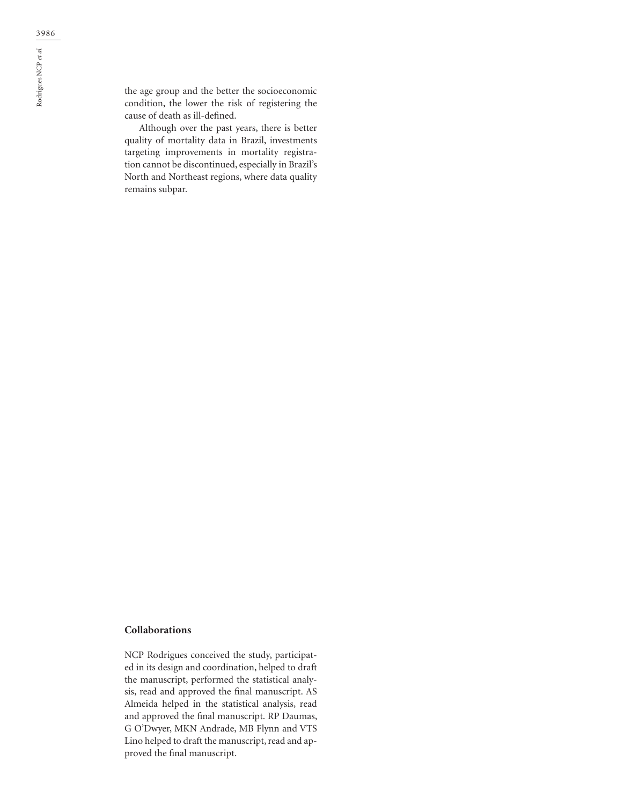the age group and the better the socioeconomic condition, the lower the risk of registering the cause of death as ill-defined.

Although over the past years, there is better quality of mortality data in Brazil, investments targeting improvements in mortality registration cannot be discontinued, especially in Brazil's North and Northeast regions, where data quality remains subpar.

#### **Collaborations**

NCP Rodrigues conceived the study, participated in its design and coordination, helped to draft the manuscript, performed the statistical analysis, read and approved the final manuscript. AS Almeida helped in the statistical analysis, read and approved the final manuscript. RP Daumas, G O'Dwyer, MKN Andrade, MB Flynn and VTS Lino helped to draft the manuscript, read and approved the final manuscript.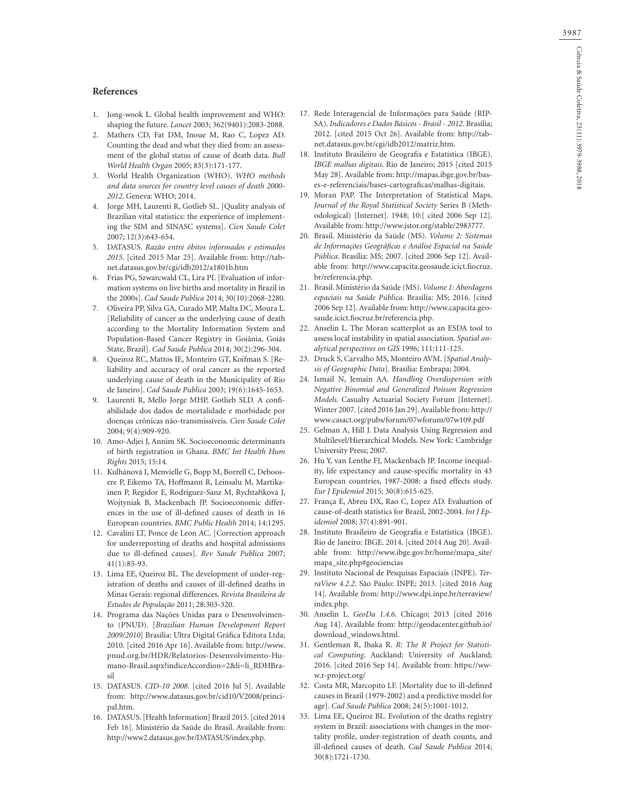#### **References**

- 1. Jong-wook L. Global health improvement and WHO: shaping the future. *Lancet* 2003; 362(9401):2083-2088.
- 2. Mathers CD, Fat DM, Inoue M, Rao C, Lopez AD. Counting the dead and what they died from: an assessment of the global status of cause of death data. *Bull World Health Organ* 2005; 83(3):171-177.
- 3. World Health Organization (WHO). *WHO methods and data sources for country‐level causes of death 2000- 2012*. Geneva: WHO; 2014.
- 4. Jorge MH, Laurenti R, Gotlieb SL. [Quality analysis of Brazilian vital statistics: the experience of implementing the SIM and SINASC systems]. *Cien Saude Colet* 2007; 12(3):643-654.
- 5. DATASUS. *Razão entre óbitos informados e estimados 2015*. [cited 2015 Mar 25]. Available from: http://tabnet.datasus.gov.br/cgi/idb2012/a1801b.htm
- 6. Frias PG, Szwarcwald CL, Lira PI. [Evaluation of information systems on live births and mortality in Brazil in the 2000s]. *Cad Saude Publica* 2014; 30(10):2068-2280.
- 7. Oliveira PP, Silva GA, Curado MP, Malta DC, Moura L. [Reliability of cancer as the underlying cause of death according to the Mortality Information System and Population-Based Cancer Registry in Goiânia, Goiás State, Brazil]. *Cad Saude Publica* 2014; 30(2):296-304.
- 8. Queiroz RC, Mattos IE, Monteiro GT, Koifman S. [Reliability and accuracy of oral cancer as the reported underlying cause of death in the Municipality of Rio de Janeiro]. *Cad Saude Publica* 2003; 19(6):1645-1653.
- 9. Laurenti R, Mello Jorge MHP, Gotlieb SLD. A confiabilidade dos dados de mortalidade e morbidade por doenças crônicas não-transmissíveis. *Cien Saude Colet* 2004; 9(4):909-920.
- 10. Amo-Adjei J, Annim SK. Socioeconomic determinants of birth registration in Ghana. *BMC Int Health Hum Rights* 2015; 15:14.
- 11. Kulhánová I, Menvielle G, Bopp M, Borrell C, Deboosere P, Eikemo TA, Hoffmann R, Leinsalu M, Martikainen P, Regidor E, Rodríguez-Sanz M, Rychtaříková J, Wojtyniak B, Mackenbach JP. Socioeconomic differences in the use of ill-defined causes of death in 16 European countries. *BMC Public Health* 2014; 14:1295.
- 12. Cavalini LT, Ponce de Leon AC. [Correction approach for underreporting of deaths and hospital admissions due to ill-defined causes]. *Rev Saude Publica* 2007; 41(1):85-93.
- 13. Lima EE, Queiroz BL. The development of under-registration of deaths and causes of ill-defined deaths in Minas Gerais: regional differences. *Revista Brasileira de Estudos de População* 2011; 28:303-320.
- 14. Programa das Nações Unidas para o Desenvolvimento (PNUD). [*Brazilian Human Development Report 2009/2010*] Brasília: Ultra Digital Gráfica Editora Ltda; 2010. [cited 2016 Apr 16]. Available from: http://www. pnud.org.br/HDR/Relatorios-Desenvolvimento-Humano-Brasil.aspx?indiceAccordion=2&li=li\_RDHBrasil
- 15. DATASUS. *CID-10 2008*. [cited 2016 Jul 5]. Available from: http://www.datasus.gov.br/cid10/V2008/principal.htm.
- 16. DATASUS. [Health Information] Brazil 2015. [cited 2014 Feb 16]. Ministério da Saúde do Brasil. Available from: http://www2.datasus.gov.br/DATASUS/index.php.
- 17. Rede Interagencial de Informações para Saúde (RIP-SA). *Indicadores e Dados Básicos - Brasil - 2012*. Brasília; 2012. [cited 2015 Oct 26]. Available from: http://tabnet.datasus.gov.br/cgi/idb2012/matriz.htm.
- 18. Instituto Brasileiro de Geografia e Estatística (IBGE). *IBGE malhas digitais*. Rio de Janeiro; 2015 [cited 2015 May 28]. Available from: http://mapas.ibge.gov.br/bases-e-referenciais/bases-cartograficas/malhas-digitais.
- 19. Moran PAP. The Interpretation of Statistical Maps. *Journal of the Royal Statistical Society* Series B (Methodological) [Internet]. 1948; 10:[ cited 2006 Sep 12]. Available from: http://www.jstor.org/stable/2983777.
- 20. Brasil. Ministério da Saúde (MS). *Volume 2: Sistemas de Informações Geográficas e Análise Espacial na Saúde Pública*. Brasília: MS; 2007. [cited 2006 Sep 12]. Available from: http://www.capacita.geosaude.icict.fiocruz. br/referencia.php.
- 21. Brasil. Ministério da Saúde (MS). *Volume 1: Abordagens espaciais na Saúde Pública*. Brasília: MS; 2016. [cited 2006 Sep 12]. Available from: http://www.capacita.geosaude.icict.fiocruz.br/referencia.php.
- 22. Anselin L. The Moran scatterplot as an ESDA tool to assess local instability in spatial association. *Spatial analytical perspectives on GIS* 1996; 111:111-125.
- 23. Druck S, Carvalho MS, Monteiro AVM. [*Spatial Analysis of Geographic Data*]. Brasília: Embrapa; 2004.
- 24. Ismail N, Jemain AA. *Handling Overdispersion with Negative Binomial and Generalized Poisson Regression Models*. Casualty Actuarial Society Forum [Internet]. Winter 2007. [cited 2016 Jan 29]. Available from: http:// www.casact.org/pubs/forum/07wforum/07w109.pdf
- 25. Gelman A, Hill J. Data Analysis Using Regression and Multilevel/Hierarchical Models. New York: Cambridge University Press; 2007.
- 26. Hu Y, van Lenthe FJ, Mackenbach JP. Income inequality, life expectancy and cause-specific mortality in 43 European countries, 1987-2008: a fixed effects study. *Eur J Epidemiol* 2015; 30(8):615-625.
- 27. França E, Abreu DX, Rao C, Lopez AD. Evaluation of cause-of-death statistics for Brazil, 2002-2004. *Int J Epidemiol* 2008; 37(4):891-901.
- 28. Instituto Brasileiro de Geografia e Estatística (IBGE). Rio de Janeiro: IBGE. 2014. [cited 2014 Aug 20]. Available from: http://www.ibge.gov.br/home/mapa\_site/ mapa\_site.php#geociencias
- 29. Instituto Nacional de Pesquisas Espaciais (INPE). *TerraView 4.2.2*. São Paulo: INPE; 2013. [cited 2016 Aug 14]. Available from: http://www.dpi.inpe.br/terraview/ index.php.
- 30. Anselin L. *GeoDa 1.4.6*. Chicago; 2013 [cited 2016 Aug 14]. Available from: http://geodacenter.github.io/ download\_windows.html.
- 31. Gentleman R, Ihaka R. *R: The R Project for Statistical Computing*. Auckland: University of Auckland; 2016. [cited 2016 Sep 14]. Available from: https://www.r-project.org/
- 32. Costa MR, Marcopito LF. [Mortality due to ill-defined causes in Brazil (1979-2002) and a predictive model for age]. *Cad Saude Publica* 2008; 24(5):1001-1012.
- 33. Lima EE, Queiroz BL. Evolution of the deaths registry system in Brazil: associations with changes in the mortality profile, under-registration of death counts, and ill-defined causes of death. *Cad Saude Publica* 2014; 30(8):1721-1730.